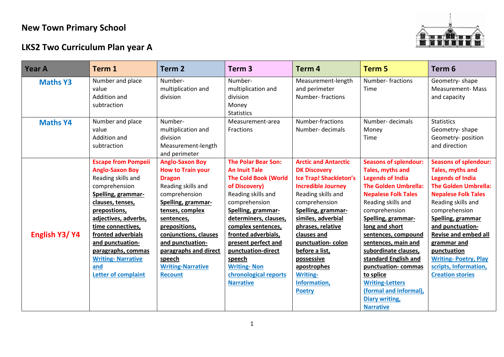## **New Town Primary School**

## **LKS2 Two Curriculum Plan year A**



| Year A          | Term 1                                                                                                                                                                                                                                                                                                                              | Term 2                                                                                                                                                                                                                                                                                                           | Term <sub>3</sub>                                                                                                                                                                                                                                                                                                                                               | Term 4                                                                                                                                                                                                                                                                                                                                                          | <b>Term 5</b>                                                                                                                                                                                                                                                                                                                                                                                                                                                    | Term <sub>6</sub>                                                                                                                                                                                                                                                                                                                                                        |
|-----------------|-------------------------------------------------------------------------------------------------------------------------------------------------------------------------------------------------------------------------------------------------------------------------------------------------------------------------------------|------------------------------------------------------------------------------------------------------------------------------------------------------------------------------------------------------------------------------------------------------------------------------------------------------------------|-----------------------------------------------------------------------------------------------------------------------------------------------------------------------------------------------------------------------------------------------------------------------------------------------------------------------------------------------------------------|-----------------------------------------------------------------------------------------------------------------------------------------------------------------------------------------------------------------------------------------------------------------------------------------------------------------------------------------------------------------|------------------------------------------------------------------------------------------------------------------------------------------------------------------------------------------------------------------------------------------------------------------------------------------------------------------------------------------------------------------------------------------------------------------------------------------------------------------|--------------------------------------------------------------------------------------------------------------------------------------------------------------------------------------------------------------------------------------------------------------------------------------------------------------------------------------------------------------------------|
| <b>Maths Y3</b> | Number and place<br>value<br>Addition and<br>subtraction                                                                                                                                                                                                                                                                            | Number-<br>multiplication and<br>division                                                                                                                                                                                                                                                                        | Number-<br>multiplication and<br>division<br>Money<br><b>Statistics</b>                                                                                                                                                                                                                                                                                         | Measurement-length<br>and perimeter<br><b>Number-fractions</b>                                                                                                                                                                                                                                                                                                  | <b>Number-fractions</b><br>Time                                                                                                                                                                                                                                                                                                                                                                                                                                  | Geometry-shape<br><b>Measurement-Mass</b><br>and capacity                                                                                                                                                                                                                                                                                                                |
| <b>Maths Y4</b> | Number and place<br>value<br>Addition and<br>subtraction                                                                                                                                                                                                                                                                            | Number-<br>multiplication and<br>division<br>Measurement-length<br>and perimeter                                                                                                                                                                                                                                 | Measurement-area<br>Fractions                                                                                                                                                                                                                                                                                                                                   | Number-fractions<br>Number- decimals                                                                                                                                                                                                                                                                                                                            | Number- decimals<br>Money<br>Time                                                                                                                                                                                                                                                                                                                                                                                                                                | <b>Statistics</b><br>Geometry-shape<br>Geometry-position<br>and direction                                                                                                                                                                                                                                                                                                |
| English Y3/Y4   | <b>Escape from Pompeii</b><br><b>Anglo-Saxon Boy</b><br>Reading skills and<br>comprehension<br>Spelling, grammar-<br>clauses, tenses,<br>prepostions,<br>adjectives, adverbs,<br>time connectives,<br>fronted adverbials<br>and punctuation-<br>paragraphs, commas<br><b>Writing-Narrative</b><br>and<br><b>Letter of complaint</b> | <b>Anglo-Saxon Boy</b><br><b>How to Train your</b><br><b>Dragon</b><br>Reading skills and<br>comprehension<br>Spelling, grammar-<br>tenses, complex<br>sentences,<br>prepositions,<br>conjunctions, clauses<br>and punctuation-<br>paragraphs and direct<br>speech<br><b>Writing-Narrative</b><br><b>Recount</b> | <b>The Polar Bear Son:</b><br><b>An Inuit Tale</b><br><b>The Cold Book (World</b><br>of Discovery)<br>Reading skills and<br>comprehension<br>Spelling, grammar-<br>determiners, clauses,<br>complex sentences,<br>fronted adverbials,<br>present perfect and<br>punctuation-direct<br>speech<br><b>Writing-Non</b><br>chronological reports<br><b>Narrative</b> | <b>Arctic and Antarctic</b><br><b>DK Discovery</b><br><b>Ice Trap! Shackleton's</b><br><b>Incredible Journey</b><br>Reading skills and<br>comprehension<br>Spelling, grammar-<br>similes, adverbial<br>phrases, relative<br>clauses and<br>punctuation-colon<br>before a list,<br>possessive<br>apostrophes<br><b>Writing-</b><br>Information,<br><b>Poetry</b> | <b>Seasons of splendour:</b><br><b>Tales, myths and</b><br><b>Legends of India</b><br><b>The Golden Umbrella:</b><br><b>Nepalese Folk Tales</b><br>Reading skills and<br>comprehension<br>Spelling, grammar-<br>long and short<br>sentences, compound<br>sentences, main and<br>subordinate clauses,<br>standard English and<br>punctuation-commas<br>to splice<br><b>Writing-Letters</b><br>(formal and informal),<br><b>Diary writing,</b><br><b>Narrative</b> | <b>Seasons of splendour:</b><br>Tales, myths and<br><b>Legends of India</b><br><b>The Golden Umbrella:</b><br><b>Nepalese Folk Tales</b><br>Reading skills and<br>comprehension<br>Spelling, grammar<br>and punctuation-<br><b>Revise and embed all</b><br>grammar and<br>punctuation<br><b>Writing-Poetry, Play</b><br>scripts, Information,<br><b>Creation stories</b> |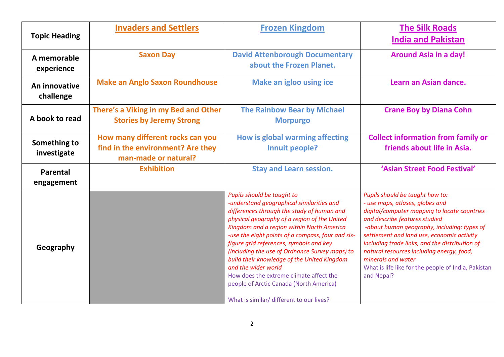| <b>Topic Heading</b>        | <b>Invaders and Settlers</b>                                                                  | <b>Frozen Kingdom</b>                                                                                                                                                                                                                                                                                                                                                                                                                                                                                                                                                        | <b>The Silk Roads</b><br><b>India and Pakistan</b>                                                                                                                                                                                                                                                                                                                                                                                         |  |
|-----------------------------|-----------------------------------------------------------------------------------------------|------------------------------------------------------------------------------------------------------------------------------------------------------------------------------------------------------------------------------------------------------------------------------------------------------------------------------------------------------------------------------------------------------------------------------------------------------------------------------------------------------------------------------------------------------------------------------|--------------------------------------------------------------------------------------------------------------------------------------------------------------------------------------------------------------------------------------------------------------------------------------------------------------------------------------------------------------------------------------------------------------------------------------------|--|
| A memorable<br>experience   | <b>Saxon Day</b>                                                                              | <b>David Attenborough Documentary</b><br>about the Frozen Planet.                                                                                                                                                                                                                                                                                                                                                                                                                                                                                                            | <b>Around Asia in a day!</b>                                                                                                                                                                                                                                                                                                                                                                                                               |  |
| An innovative<br>challenge  | <b>Make an Anglo Saxon Roundhouse</b>                                                         | <b>Make an igloo using ice</b>                                                                                                                                                                                                                                                                                                                                                                                                                                                                                                                                               | Learn an Asian dance.                                                                                                                                                                                                                                                                                                                                                                                                                      |  |
| A book to read              | There's a Viking in my Bed and Other<br><b>Stories by Jeremy Strong</b>                       | <b>The Rainbow Bear by Michael</b><br><b>Morpurgo</b>                                                                                                                                                                                                                                                                                                                                                                                                                                                                                                                        | <b>Crane Boy by Diana Cohn</b>                                                                                                                                                                                                                                                                                                                                                                                                             |  |
| Something to<br>investigate | How many different rocks can you<br>find in the environment? Are they<br>man-made or natural? | How is global warming affecting<br>Innuit people?                                                                                                                                                                                                                                                                                                                                                                                                                                                                                                                            | <b>Collect information from family or</b><br>friends about life in Asia.                                                                                                                                                                                                                                                                                                                                                                   |  |
| Parental<br>engagement      | <b>Exhibition</b>                                                                             | <b>Stay and Learn session.</b>                                                                                                                                                                                                                                                                                                                                                                                                                                                                                                                                               | 'Asian Street Food Festival'                                                                                                                                                                                                                                                                                                                                                                                                               |  |
| Geography                   |                                                                                               | Pupils should be taught to<br>-understand geographical similarities and<br>differences through the study of human and<br>physical geography of a region of the United<br>Kingdom and a region within North America<br>-use the eight points of a compass, four and six-<br>figure grid references, symbols and key<br>(including the use of Ordnance Survey maps) to<br>build their knowledge of the United Kingdom<br>and the wider world<br>How does the extreme climate affect the<br>people of Arctic Canada (North America)<br>What is similar/ different to our lives? | Pupils should be taught how to:<br>- use maps, atlases, globes and<br>digital/computer mapping to locate countries<br>and describe features studied<br>-about human geography, including: types of<br>settlement and land use, economic activity<br>including trade links, and the distribution of<br>natural resources including energy, food,<br>minerals and water<br>What is life like for the people of India, Pakistan<br>and Nepal? |  |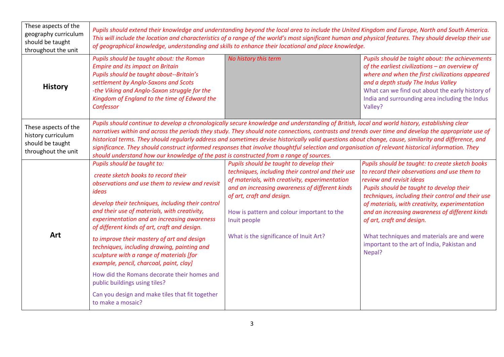| These aspects of the<br>geography curriculum<br>should be taught<br>throughout the unit | Pupils should extend their knowledge and understanding beyond the local area to include the United Kingdom and Europe, North and South America.<br>This will include the location and characteristics of a range of the world's most significant human and physical features. They should develop their use<br>of geographical knowledge, understanding and skills to enhance their locational and place knowledge.                                                                                                                                                                                                                                                                                              |                                                                                                                                                                                                                                                                                                                                        |                                                                                                                                                                                                                                                                                                                                                                                                                                                                      |  |  |  |
|-----------------------------------------------------------------------------------------|------------------------------------------------------------------------------------------------------------------------------------------------------------------------------------------------------------------------------------------------------------------------------------------------------------------------------------------------------------------------------------------------------------------------------------------------------------------------------------------------------------------------------------------------------------------------------------------------------------------------------------------------------------------------------------------------------------------|----------------------------------------------------------------------------------------------------------------------------------------------------------------------------------------------------------------------------------------------------------------------------------------------------------------------------------------|----------------------------------------------------------------------------------------------------------------------------------------------------------------------------------------------------------------------------------------------------------------------------------------------------------------------------------------------------------------------------------------------------------------------------------------------------------------------|--|--|--|
| <b>History</b>                                                                          | Pupils should be taught about: the Roman<br><b>Empire and its impact on Britain</b><br>Pupils should be taught about--Britain's<br>settlement by Anglo-Saxons and Scots<br>-the Viking and Anglo-Saxon struggle for the<br>Kingdom of England to the time of Edward the<br>Confessor                                                                                                                                                                                                                                                                                                                                                                                                                             | No history this term                                                                                                                                                                                                                                                                                                                   | Pupils should be taight about: the achievements<br>of the earliest civilizations $-$ an overview of<br>where and when the first civilizations appeared<br>and a depth study The Indus Valley<br>What can we find out about the early history of<br>India and surrounding area including the Indus<br>Valley?                                                                                                                                                         |  |  |  |
| These aspects of the<br>history curriculum<br>should be taught<br>throughout the unit   | Pupils should continue to develop a chronologically secure knowledge and understanding of British, local and world history, establishing clear<br>narratives within and across the periods they study. They should note connections, contrasts and trends over time and develop the appropriate use of<br>historical terms. They should regularly address and sometimes devise historically valid questions about change, cause, similarity and difference, and<br>significance. They should construct informed responses that involve thoughtful selection and organisation of relevant historical information. They<br>should understand how our knowledge of the past is constructed from a range of sources. |                                                                                                                                                                                                                                                                                                                                        |                                                                                                                                                                                                                                                                                                                                                                                                                                                                      |  |  |  |
| Art                                                                                     | Pupils should be taught to:<br>create sketch books to record their<br>observations and use them to review and revisit<br>ideas<br>develop their techniques, including their control<br>and their use of materials, with creativity,<br>experimentation and an increasing awareness<br>of different kinds of art, craft and design.<br>to improve their mastery of art and design<br>techniques, including drawing, painting and<br>sculpture with a range of materials [for<br>example, pencil, charcoal, paint, clay]<br>How did the Romans decorate their homes and<br>public buildings using tiles?<br>Can you design and make tiles that fit together<br>to make a mosaic?                                   | Pupils should be taught to develop their<br>techniques, including their control and their use<br>of materials, with creativity, experimentation<br>and an increasing awareness of different kinds<br>of art, craft and design.<br>How is pattern and colour important to the<br>Inuit people<br>What is the significance of Inuit Art? | Pupils should be taught: to create sketch books<br>to record their observations and use them to<br>review and revisit ideas<br>Pupils should be taught to develop their<br>techniques, including their control and their use<br>of materials, with creativity, experimentation<br>and an increasing awareness of different kinds<br>of art, craft and design.<br>What techniques and materials are and were<br>important to the art of India, Pakistan and<br>Nepal? |  |  |  |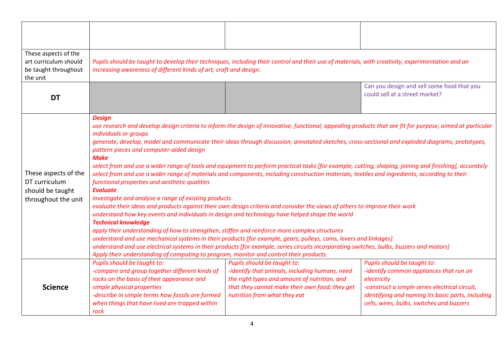| These aspects of the<br>art curriculum should<br>be taught throughout<br>the unit | increasing awareness of different kinds of art, craft and design.                                                                                                                                                                                                                                                                                                                                                                                                                                                                                                                                                                                                                                                                                                                                                                                                                                                                                                                                                                                                                                                                                                                                                                                                                                                                                                                                                                                                                                                                                                                 | Pupils should be taught to develop their techniques, including their control and their use of materials, with creativity, experimentation and an                                                                |                                                                                                                                                                                                                                           |  |  |
|-----------------------------------------------------------------------------------|-----------------------------------------------------------------------------------------------------------------------------------------------------------------------------------------------------------------------------------------------------------------------------------------------------------------------------------------------------------------------------------------------------------------------------------------------------------------------------------------------------------------------------------------------------------------------------------------------------------------------------------------------------------------------------------------------------------------------------------------------------------------------------------------------------------------------------------------------------------------------------------------------------------------------------------------------------------------------------------------------------------------------------------------------------------------------------------------------------------------------------------------------------------------------------------------------------------------------------------------------------------------------------------------------------------------------------------------------------------------------------------------------------------------------------------------------------------------------------------------------------------------------------------------------------------------------------------|-----------------------------------------------------------------------------------------------------------------------------------------------------------------------------------------------------------------|-------------------------------------------------------------------------------------------------------------------------------------------------------------------------------------------------------------------------------------------|--|--|
| <b>DT</b>                                                                         |                                                                                                                                                                                                                                                                                                                                                                                                                                                                                                                                                                                                                                                                                                                                                                                                                                                                                                                                                                                                                                                                                                                                                                                                                                                                                                                                                                                                                                                                                                                                                                                   |                                                                                                                                                                                                                 | Can you design and sell some food that you<br>could sell at a street market?                                                                                                                                                              |  |  |
| These aspects of the<br>DT curriculum<br>should be taught<br>throughout the unit  | <b>Design</b><br>use research and develop design criteria to inform the design of innovative, functional, appealing products that are fit for purpose, aimed at particular<br>individuals or groups<br>generate, develop, model and communicate their ideas through discussion, annotated sketches, cross-sectional and exploded diagrams, prototypes,<br>pattern pieces and computer-aided design<br><b>Make</b><br>select from and use a wider range of tools and equipment to perform practical tasks [for example, cutting, shaping, joining and finishing], accurately<br>select from and use a wider range of materials and components, including construction materials, textiles and ingredients, according to their<br>functional properties and aesthetic qualities<br><b>Evaluate</b><br>investigate and analyse a range of existing products<br>evaluate their ideas and products against their own design criteria and consider the views of others to improve their work<br>understand how key events and individuals in design and technology have helped shape the world<br><b>Technical knowledge</b><br>apply their understanding of how to strengthen, stiffen and reinforce more complex structures<br>understand and use mechanical systems in their products [for example, gears, pulleys, cams, levers and linkages]<br>understand and use electrical systems in their products [for example, series circuits incorporating switches, bulbs, buzzers and motors]<br>Apply their understanding of computing to program, monitor and control their products. |                                                                                                                                                                                                                 |                                                                                                                                                                                                                                           |  |  |
| <b>Science</b>                                                                    | Pupils should be taught to:<br>-compare and group together different kinds of<br>rocks on the basis of their appearance and<br>simple physical properties<br>-describe in simple terms how fossils are formed<br>when things that have lived are trapped within<br>rock                                                                                                                                                                                                                                                                                                                                                                                                                                                                                                                                                                                                                                                                                                                                                                                                                                                                                                                                                                                                                                                                                                                                                                                                                                                                                                           | Pupils should be taught to:<br>-identify that animals, including humans, need<br>the right types and amount of nutrition, and<br>that they cannot make their own food; they get<br>nutrition from what they eat | Pupils should be taught to:<br>-identify common appliances that run on<br>electricity<br>-construct a simple series electrical circuit,<br>identifying and naming its basic parts, including<br>cells, wires, bulbs, switches and buzzers |  |  |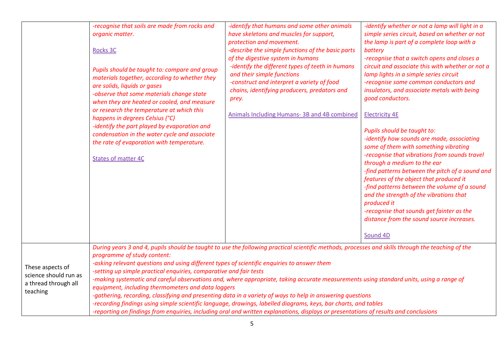|                                                                               | -recognise that soils are made from rocks and<br>organic matter.<br><b>Rocks 3C</b><br>Pupils should be taught to: compare and group<br>materials together, according to whether they<br>are solids, liquids or gases<br>-observe that some materials change state<br>when they are heated or cooled, and measure<br>or research the temperature at which this<br>happens in degrees Celsius (°C)<br>-identify the part played by evaporation and<br>condensation in the water cycle and associate<br>the rate of evaporation with temperature.<br><b>States of matter 4C</b>                                                                                                                                                                                                                                                                                                                                                   | -identify that humans and some other animals<br>have skeletons and muscles for support,<br>protection and movement.<br>-describe the simple functions of the basic parts<br>of the digestive system in humans<br>-identify the different types of teeth in humans<br>and their simple functions<br>-construct and interpret a variety of food<br>chains, identifying producers, predators and<br>prey.<br><b>Animals Including Humans-3B and 4B combined</b> | -identify whether or not a lamp will light in a<br>simple series circuit, based on whether or not<br>the lamp is part of a complete loop with a<br>battery<br>-recognise that a switch opens and closes a<br>circuit and associate this with whether or not a<br>lamp lights in a simple series circuit<br>-recognise some common conductors and<br>insulators, and associate metals with being<br>good conductors.<br><b>Electricity 4E</b><br>Pupils should be taught to:<br>-identify how sounds are made, associating<br>some of them with something vibrating<br>-recognise that vibrations from sounds travel<br>through a medium to the ear<br>-find patterns between the pitch of a sound and<br>features of the object that produced it<br>-find patterns between the volume of a sound<br>and the strength of the vibrations that<br>produced it<br>-recognise that sounds get fainter as the<br>distance from the sound source increases.<br>Sound 4D |  |  |
|-------------------------------------------------------------------------------|---------------------------------------------------------------------------------------------------------------------------------------------------------------------------------------------------------------------------------------------------------------------------------------------------------------------------------------------------------------------------------------------------------------------------------------------------------------------------------------------------------------------------------------------------------------------------------------------------------------------------------------------------------------------------------------------------------------------------------------------------------------------------------------------------------------------------------------------------------------------------------------------------------------------------------|--------------------------------------------------------------------------------------------------------------------------------------------------------------------------------------------------------------------------------------------------------------------------------------------------------------------------------------------------------------------------------------------------------------------------------------------------------------|------------------------------------------------------------------------------------------------------------------------------------------------------------------------------------------------------------------------------------------------------------------------------------------------------------------------------------------------------------------------------------------------------------------------------------------------------------------------------------------------------------------------------------------------------------------------------------------------------------------------------------------------------------------------------------------------------------------------------------------------------------------------------------------------------------------------------------------------------------------------------------------------------------------------------------------------------------------|--|--|
| These aspects of<br>science should run as<br>a thread through all<br>teaching | During years 3 and 4, pupils should be taught to use the following practical scientific methods, processes and skills through the teaching of the<br>programme of study content:<br>-asking relevant questions and using different types of scientific enquiries to answer them<br>-setting up simple practical enquiries, comparative and fair tests<br>-making systematic and careful observations and, where appropriate, taking accurate measurements using standard units, using a range of<br>equipment, including thermometers and data loggers<br>-gathering, recording, classifying and presenting data in a variety of ways to help in answering questions<br>-recording findings using simple scientific language, drawings, labelled diagrams, keys, bar charts, and tables<br>-reporting on findings from enquiries, including oral and written explanations, displays or presentations of results and conclusions |                                                                                                                                                                                                                                                                                                                                                                                                                                                              |                                                                                                                                                                                                                                                                                                                                                                                                                                                                                                                                                                                                                                                                                                                                                                                                                                                                                                                                                                  |  |  |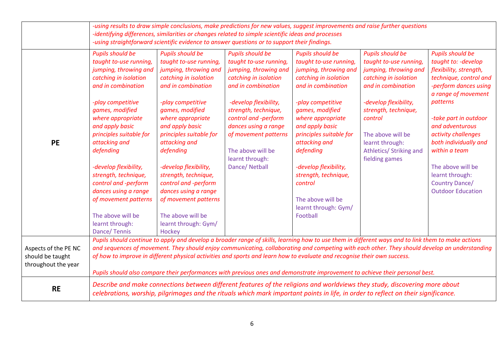|                                                                 | -using results to draw simple conclusions, make predictions for new values, suggest improvements and raise further questions<br>-identifying differences, similarities or changes related to simple scientific ideas and processes<br>-using straightforward scientific evidence to answer questions or to support their findings.                                                                                                  |                                                                                                                                                                                                                                                                                                                                                                                                                                                    |                                                                                                                                                                                                                                                                                                       |                                                                                                                                                                                                                                                                                                                                                                                                                                                                                                                                                                 |                                                                                                                                                                                                                                                                            |                                                                                                                                                                                                                                                                                                                                                                    |
|-----------------------------------------------------------------|-------------------------------------------------------------------------------------------------------------------------------------------------------------------------------------------------------------------------------------------------------------------------------------------------------------------------------------------------------------------------------------------------------------------------------------|----------------------------------------------------------------------------------------------------------------------------------------------------------------------------------------------------------------------------------------------------------------------------------------------------------------------------------------------------------------------------------------------------------------------------------------------------|-------------------------------------------------------------------------------------------------------------------------------------------------------------------------------------------------------------------------------------------------------------------------------------------------------|-----------------------------------------------------------------------------------------------------------------------------------------------------------------------------------------------------------------------------------------------------------------------------------------------------------------------------------------------------------------------------------------------------------------------------------------------------------------------------------------------------------------------------------------------------------------|----------------------------------------------------------------------------------------------------------------------------------------------------------------------------------------------------------------------------------------------------------------------------|--------------------------------------------------------------------------------------------------------------------------------------------------------------------------------------------------------------------------------------------------------------------------------------------------------------------------------------------------------------------|
| <b>PE</b>                                                       | <b>Pupils should be</b><br>taught to-use running,<br>jumping, throwing and<br>catching in isolation<br>and in combination<br>-play competitive<br>games, modified<br>where appropriate<br>and apply basic<br>principles suitable for<br>attacking and<br>defending<br>-develop flexibility,<br>strength, technique,<br>control and -perform<br>dances using a range<br>of movement patterns<br>The above will be<br>learnt through: | <b>Pupils should be</b><br>taught to-use running,<br>jumping, throwing and<br>catching in isolation<br>and in combination<br>-play competitive<br>games, modified<br>where appropriate<br>and apply basic<br>principles suitable for<br>attacking and<br>defending<br>-develop flexibility,<br>strength, technique,<br>control and -perform<br>dances using a range<br>of movement patterns<br>The above will be<br>learnt through: Gym/<br>Hockey | Pupils should be<br>taught to-use running,<br>jumping, throwing and<br>catching in isolation<br>and in combination<br>-develop flexibility,<br>strength, technique,<br>control and -perform<br>dances using a range<br>of movement patterns<br>The above will be<br>learnt through:<br>Dance/ Netball | Pupils should be<br>taught to-use running,<br>jumping, throwing and<br>catching in isolation<br>and in combination<br>-play competitive<br>games, modified<br>where appropriate<br>and apply basic<br>principles suitable for<br>attacking and<br>defending<br>-develop flexibility,<br>strength, technique,<br>control<br>The above will be<br>learnt through: Gym/<br>Football                                                                                                                                                                                | <b>Pupils should be</b><br>taught to-use running,<br>jumping, throwing and<br>catching in isolation<br>and in combination<br>-develop flexibility,<br>strength, technique,<br>control<br>The above will be<br>learnt through:<br>Athletics/ Striking and<br>fielding games | <b>Pupils should be</b><br>taught to: - develop<br>flexibility, strength,<br>technique, control and<br>-perform dances using<br>a range of movement<br>patterns<br>-take part in outdoor<br>and adventurous<br>activity challenges<br>both individually and<br>within a team<br>The above will be<br>learnt through:<br>Country Dance/<br><b>Outdoor Education</b> |
| Aspects of the PE NC<br>should be taught<br>throughout the year | Dance/Tennis                                                                                                                                                                                                                                                                                                                                                                                                                        |                                                                                                                                                                                                                                                                                                                                                                                                                                                    |                                                                                                                                                                                                                                                                                                       | Pupils should continue to apply and develop a broader range of skills, learning how to use them in different ways and to link them to make actions<br>and sequences of movement. They should enjoy communicating, collaborating and competing with each other. They should develop an understanding<br>of how to improve in different physical activities and sports and learn how to evaluate and recognise their own success.<br>Pupils should also compare their performances with previous ones and demonstrate improvement to achieve their personal best. |                                                                                                                                                                                                                                                                            |                                                                                                                                                                                                                                                                                                                                                                    |
| <b>RE</b>                                                       | Describe and make connections between different features of the religions and worldviews they study, discovering more about<br>celebrations, worship, pilgrimages and the rituals which mark important points in life, in order to reflect on their significance.                                                                                                                                                                   |                                                                                                                                                                                                                                                                                                                                                                                                                                                    |                                                                                                                                                                                                                                                                                                       |                                                                                                                                                                                                                                                                                                                                                                                                                                                                                                                                                                 |                                                                                                                                                                                                                                                                            |                                                                                                                                                                                                                                                                                                                                                                    |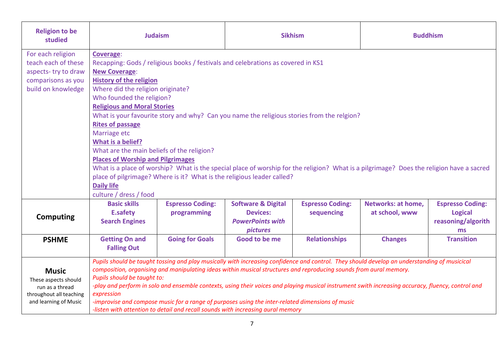| <b>Religion to be</b><br>studied                                                                            | <b>Judaism</b>                                                                                                                                                                                                                                                                                                                                                                                   |                                                                                                                                                                                                                                                                                                           | <b>Sikhism</b>                                                                                 |                                       | <b>Buddhism</b>                                                                                                                                                                                                                                                                                    |                                                                       |
|-------------------------------------------------------------------------------------------------------------|--------------------------------------------------------------------------------------------------------------------------------------------------------------------------------------------------------------------------------------------------------------------------------------------------------------------------------------------------------------------------------------------------|-----------------------------------------------------------------------------------------------------------------------------------------------------------------------------------------------------------------------------------------------------------------------------------------------------------|------------------------------------------------------------------------------------------------|---------------------------------------|----------------------------------------------------------------------------------------------------------------------------------------------------------------------------------------------------------------------------------------------------------------------------------------------------|-----------------------------------------------------------------------|
| For each religion<br>teach each of these<br>aspects-try to draw<br>comparisons as you                       | Coverage:<br>Recapping: Gods / religious books / festivals and celebrations as covered in KS1<br><b>New Coverage:</b><br><b>History of the religion</b>                                                                                                                                                                                                                                          |                                                                                                                                                                                                                                                                                                           |                                                                                                |                                       |                                                                                                                                                                                                                                                                                                    |                                                                       |
| build on knowledge                                                                                          | <b>Rites of passage</b>                                                                                                                                                                                                                                                                                                                                                                          | Where did the religion originate?<br>Who founded the religion?<br><b>Religious and Moral Stories</b><br>What is your favourite story and why? Can you name the religious stories from the relgion?                                                                                                        |                                                                                                |                                       |                                                                                                                                                                                                                                                                                                    |                                                                       |
|                                                                                                             | Marriage etc<br>What is a belief?<br>What are the main beliefs of the religion?<br><b>Places of Worship and Pilgrimages</b><br>What is a place of worship? What is the special place of worship for the religion? What is a pilgrimage? Does the religion have a sacred<br>place of pilgrimage? Where is it? What is the religious leader called?<br><b>Daily life</b><br>culture / dress / food |                                                                                                                                                                                                                                                                                                           |                                                                                                |                                       |                                                                                                                                                                                                                                                                                                    |                                                                       |
| <b>Computing</b>                                                                                            | <b>Basic skills</b><br><b>E.safety</b><br><b>Search Engines</b>                                                                                                                                                                                                                                                                                                                                  | <b>Espresso Coding:</b><br>programming                                                                                                                                                                                                                                                                    | <b>Software &amp; Digital</b><br><b>Devices:</b><br><b>PowerPoints with</b><br><i>pictures</i> | <b>Espresso Coding:</b><br>sequencing | <b>Networks: at home,</b><br>at school, www                                                                                                                                                                                                                                                        | <b>Espresso Coding:</b><br><b>Logical</b><br>reasoning/algorith<br>ms |
| <b>PSHME</b>                                                                                                | <b>Getting On and</b><br><b>Falling Out</b>                                                                                                                                                                                                                                                                                                                                                      | <b>Going for Goals</b>                                                                                                                                                                                                                                                                                    | Good to be me                                                                                  | <b>Relationships</b>                  | <b>Changes</b>                                                                                                                                                                                                                                                                                     | <b>Transition</b>                                                     |
| <b>Music</b><br>These aspects should<br>run as a thread<br>throughout all teaching<br>and learning of Music | Pupils should be taught to:<br>expression                                                                                                                                                                                                                                                                                                                                                        | composition, organising and manipulating ideas within musical structures and reproducing sounds from aural memory.<br>-improvise and compose music for a range of purposes using the inter-related dimensions of music<br>-listen with attention to detail and recall sounds with increasing aural memory |                                                                                                |                                       | Pupils should be taught tossing and play musically with increasing confidence and control. They should develop an understanding of musicical<br>-play and perform in solo and ensemble contexts, using their voices and playing musical instrument swith increasing accuracy, fluency, control and |                                                                       |